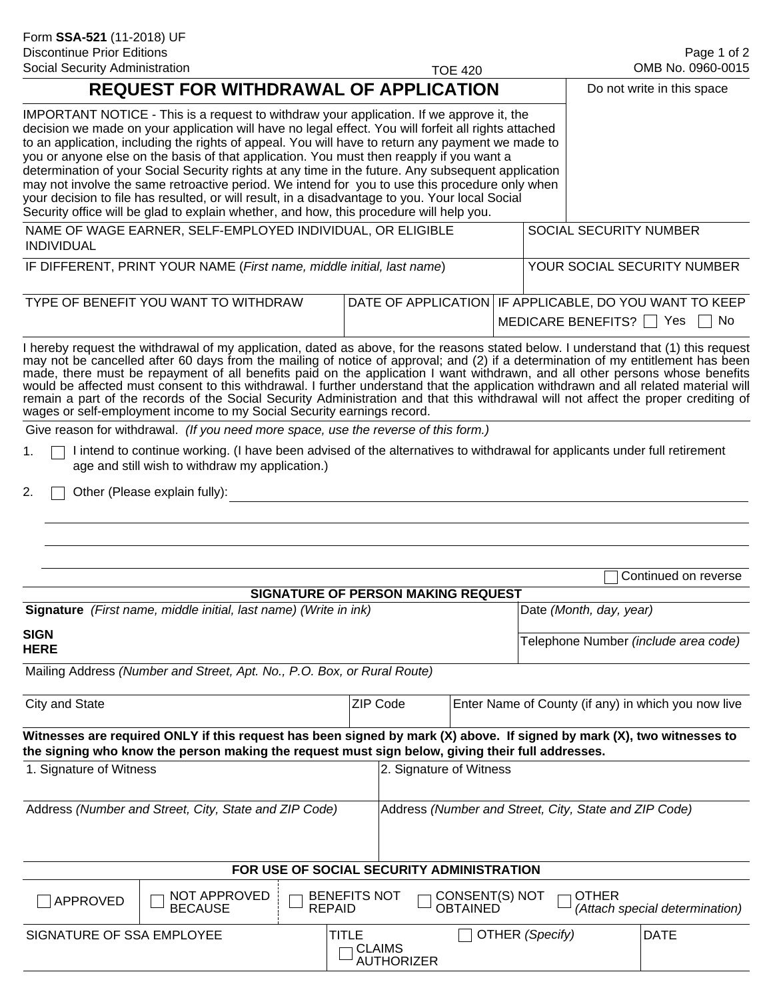| <b>Discontinue Prior Editions</b><br>Social Security Administration             |                                                                                                                                                                                                                                                                                                                                                                                                                                                                                                                                                                                                                                                                                                                                                                                                         |               |                     |                                           |                                   |                 |                                                                                        | Page 1 of 2<br>OMB No. 0960-0015                    |  |
|---------------------------------------------------------------------------------|---------------------------------------------------------------------------------------------------------------------------------------------------------------------------------------------------------------------------------------------------------------------------------------------------------------------------------------------------------------------------------------------------------------------------------------------------------------------------------------------------------------------------------------------------------------------------------------------------------------------------------------------------------------------------------------------------------------------------------------------------------------------------------------------------------|---------------|---------------------|-------------------------------------------|-----------------------------------|-----------------|----------------------------------------------------------------------------------------|-----------------------------------------------------|--|
| <b>REQUEST FOR WITHDRAWAL OF APPLICATION</b>                                    |                                                                                                                                                                                                                                                                                                                                                                                                                                                                                                                                                                                                                                                                                                                                                                                                         |               |                     | <b>TOE 420</b>                            |                                   |                 |                                                                                        | Do not write in this space                          |  |
|                                                                                 | IMPORTANT NOTICE - This is a request to withdraw your application. If we approve it, the<br>decision we made on your application will have no legal effect. You will forfeit all rights attached<br>to an application, including the rights of appeal. You will have to return any payment we made to<br>you or anyone else on the basis of that application. You must then reapply if you want a<br>determination of your Social Security rights at any time in the future. Any subsequent application<br>may not involve the same retroactive period. We intend for you to use this procedure only when<br>your decision to file has resulted, or will result, in a disadvantage to you. Your local Social<br>Security office will be glad to explain whether, and how, this procedure will help you. |               |                     |                                           |                                   |                 |                                                                                        |                                                     |  |
| NAME OF WAGE EARNER, SELF-EMPLOYED INDIVIDUAL, OR ELIGIBLE<br><b>INDIVIDUAL</b> |                                                                                                                                                                                                                                                                                                                                                                                                                                                                                                                                                                                                                                                                                                                                                                                                         |               |                     |                                           |                                   |                 | SOCIAL SECURITY NUMBER                                                                 |                                                     |  |
| IF DIFFERENT, PRINT YOUR NAME (First name, middle initial, last name)           |                                                                                                                                                                                                                                                                                                                                                                                                                                                                                                                                                                                                                                                                                                                                                                                                         |               |                     |                                           |                                   |                 |                                                                                        | YOUR SOCIAL SECURITY NUMBER                         |  |
|                                                                                 | TYPE OF BENEFIT YOU WANT TO WITHDRAW                                                                                                                                                                                                                                                                                                                                                                                                                                                                                                                                                                                                                                                                                                                                                                    |               |                     |                                           |                                   |                 | DATE OF APPLICATION IF APPLICABLE, DO YOU WANT TO KEEP<br>MEDICARE BENEFITS? Yes<br>No |                                                     |  |
|                                                                                 | I hereby request the withdrawal of my application, dated as above, for the reasons stated below. I understand that (1) this request<br>may not be cancelled after 60 days from the mailing of notice of approval; and (2) if a determination of my entitlement has been<br>made, there must be repayment of all benefits paid on the application I want withdrawn, and all other persons whose benefits<br>would be affected must consent to this withdrawal. I further understand that the application withdrawn and all related material will<br>remain a part of the records of the Social Security Administration and that this withdrawal will not affect the proper crediting of<br>wages or self-employment income to my Social Security earnings record.                                        |               |                     |                                           |                                   |                 |                                                                                        |                                                     |  |
|                                                                                 | Give reason for withdrawal. (If you need more space, use the reverse of this form.)                                                                                                                                                                                                                                                                                                                                                                                                                                                                                                                                                                                                                                                                                                                     |               |                     |                                           |                                   |                 |                                                                                        |                                                     |  |
| 1.                                                                              | I intend to continue working. (I have been advised of the alternatives to withdrawal for applicants under full retirement<br>age and still wish to withdraw my application.)                                                                                                                                                                                                                                                                                                                                                                                                                                                                                                                                                                                                                            |               |                     |                                           |                                   |                 |                                                                                        |                                                     |  |
| 2.                                                                              | Other (Please explain fully):                                                                                                                                                                                                                                                                                                                                                                                                                                                                                                                                                                                                                                                                                                                                                                           |               |                     |                                           |                                   |                 |                                                                                        |                                                     |  |
|                                                                                 |                                                                                                                                                                                                                                                                                                                                                                                                                                                                                                                                                                                                                                                                                                                                                                                                         |               |                     |                                           |                                   |                 |                                                                                        | Continued on reverse                                |  |
|                                                                                 |                                                                                                                                                                                                                                                                                                                                                                                                                                                                                                                                                                                                                                                                                                                                                                                                         |               |                     | <b>SIGNATURE OF PERSON MAKING REQUEST</b> |                                   |                 |                                                                                        |                                                     |  |
| Signature (First name, middle initial, last name) (Write in ink)                |                                                                                                                                                                                                                                                                                                                                                                                                                                                                                                                                                                                                                                                                                                                                                                                                         |               |                     |                                           |                                   |                 | Date (Month, day, year)                                                                |                                                     |  |
| <b>SIGN</b><br><b>HERE</b>                                                      |                                                                                                                                                                                                                                                                                                                                                                                                                                                                                                                                                                                                                                                                                                                                                                                                         |               |                     |                                           |                                   |                 |                                                                                        | Telephone Number (include area code)                |  |
|                                                                                 | Mailing Address (Number and Street, Apt. No., P.O. Box, or Rural Route)                                                                                                                                                                                                                                                                                                                                                                                                                                                                                                                                                                                                                                                                                                                                 |               |                     |                                           |                                   |                 |                                                                                        |                                                     |  |
| City and State                                                                  |                                                                                                                                                                                                                                                                                                                                                                                                                                                                                                                                                                                                                                                                                                                                                                                                         |               | ZIP Code            |                                           |                                   |                 |                                                                                        | Enter Name of County (if any) in which you now live |  |
|                                                                                 | Witnesses are required ONLY if this request has been signed by mark (X) above. If signed by mark (X), two witnesses to<br>the signing who know the person making the request must sign below, giving their full addresses.                                                                                                                                                                                                                                                                                                                                                                                                                                                                                                                                                                              |               |                     |                                           |                                   |                 |                                                                                        |                                                     |  |
| 1. Signature of Witness                                                         |                                                                                                                                                                                                                                                                                                                                                                                                                                                                                                                                                                                                                                                                                                                                                                                                         |               |                     | 2. Signature of Witness                   |                                   |                 |                                                                                        |                                                     |  |
|                                                                                 | Address (Number and Street, City, State and ZIP Code)                                                                                                                                                                                                                                                                                                                                                                                                                                                                                                                                                                                                                                                                                                                                                   |               |                     |                                           |                                   |                 | Address (Number and Street, City, State and ZIP Code)                                  |                                                     |  |
|                                                                                 |                                                                                                                                                                                                                                                                                                                                                                                                                                                                                                                                                                                                                                                                                                                                                                                                         |               |                     | FOR USE OF SOCIAL SECURITY ADMINISTRATION |                                   |                 |                                                                                        |                                                     |  |
| APPROVED                                                                        | NOT APPROVED<br><b>BECAUSE</b>                                                                                                                                                                                                                                                                                                                                                                                                                                                                                                                                                                                                                                                                                                                                                                          | <b>REPAID</b> | <b>BENEFITS NOT</b> |                                           | CONSENT(S) NOT<br><b>OBTAINED</b> |                 | <b>OTHER</b>                                                                           | (Attach special determination)                      |  |
| SIGNATURE OF SSA EMPLOYEE                                                       |                                                                                                                                                                                                                                                                                                                                                                                                                                                                                                                                                                                                                                                                                                                                                                                                         |               | TITLE               | <b>CLAIMS</b><br><b>AUTHORIZER</b>        |                                   | OTHER (Specify) |                                                                                        | <b>DATE</b>                                         |  |